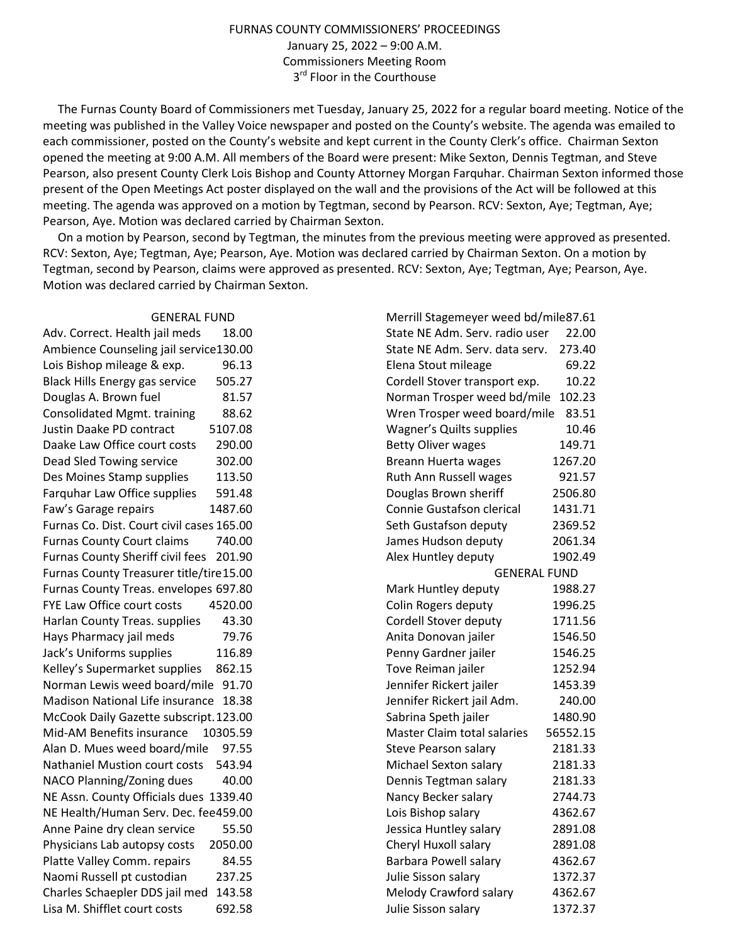## FURNAS COUNTY COMMISSIONERS' PROCEEDINGS January 25, 2022 – 9:00 A.M. Commissioners Meeting Room 3<sup>rd</sup> Floor in the Courthouse

 The Furnas County Board of Commissioners met Tuesday, January 25, 2022 for a regular board meeting. Notice of the meeting was published in the Valley Voice newspaper and posted on the County's website. The agenda was emailed to each commissioner, posted on the County's website and kept current in the County Clerk's office. Chairman Sexton opened the meeting at 9:00 A.M. All members of the Board were present: Mike Sexton, Dennis Tegtman, and Steve Pearson, also present County Clerk Lois Bishop and County Attorney Morgan Farquhar. Chairman Sexton informed those present of the Open Meetings Act poster displayed on the wall and the provisions of the Act will be followed at this meeting. The agenda was approved on a motion by Tegtman, second by Pearson. RCV: Sexton, Aye; Tegtman, Aye; Pearson, Aye. Motion was declared carried by Chairman Sexton.

 On a motion by Pearson, second by Tegtman, the minutes from the previous meeting were approved as presented. RCV: Sexton, Aye; Tegtman, Aye; Pearson, Aye. Motion was declared carried by Chairman Sexton. On a motion by Tegtman, second by Pearson, claims were approved as presented. RCV: Sexton, Aye; Tegtman, Aye; Pearson, Aye. Motion was declared carried by Chairman Sexton.

## GENERAL FUND

Adv. Correct. Health jail meds 18.00 Ambience Counseling jail service130.00 Lois Bishop mileage & exp. 96.13 Black Hills Energy gas service 505.27 Douglas A. Brown fuel 81.57 Consolidated Mgmt. training 88.62 Justin Daake PD contract 5107.08 Daake Law Office court costs 290.00 Dead Sled Towing service 302.00 Des Moines Stamp supplies 113.50 Farquhar Law Office supplies 591.48 Faw's Garage repairs 1487.60 Furnas Co. Dist. Court civil cases 165.00 Furnas County Court claims 740.00 Furnas County Sheriff civil fees 201.90 Furnas County Treasurer title/tire 15.00 Furnas County Treas. envelopes 697.80 FYE Law Office court costs 4520.00 Harlan County Treas. supplies 43.30 Hays Pharmacy jail meds 79.76 Jack's Uniforms supplies 116.89 Kelley's Supermarket supplies 862.15 Norman Lewis weed board/mile 91.70 Madison National Life insurance 18.38 McCook Daily Gazette subscript. 123.00 Mid-AM Benefits insurance 10305.59 Alan D. Mues weed board/mile 97.55 Nathaniel Mustion court costs 543.94 NACO Planning/Zoning dues 40.00 NE Assn. County Officials dues 1339.40 NE Health/Human Serv. Dec. fee 459.00 Anne Paine dry clean service 55.50 Physicians Lab autopsy costs 2050.00 Platte Valley Comm. repairs 84.55 Naomi Russell pt custodian 237.25 Charles Schaepler DDS jail med 143.58 Lisa M. Shifflet court costs 692.58

| Merrill Stagemeyer weed bd/mile87.61 |          |
|--------------------------------------|----------|
| State NE Adm. Serv. radio user       | 22.00    |
| State NE Adm. Serv. data serv.       | 273.40   |
| Elena Stout mileage                  | 69.22    |
| Cordell Stover transport exp.        | 10.22    |
| Norman Trosper weed bd/mile          | 102.23   |
| Wren Trosper weed board/mile         | 83.51    |
| <b>Wagner's Quilts supplies</b>      | 10.46    |
| <b>Betty Oliver wages</b>            | 149.71   |
| <b>Breann Huerta wages</b>           | 1267.20  |
| Ruth Ann Russell wages               | 921.57   |
| Douglas Brown sheriff                | 2506.80  |
| Connie Gustafson clerical            | 1431.71  |
| Seth Gustafson deputy                | 2369.52  |
| James Hudson deputy                  | 2061.34  |
| Alex Huntley deputy                  | 1902.49  |
| <b>GENERAL FUND</b>                  |          |
| Mark Huntley deputy                  | 1988.27  |
| Colin Rogers deputy                  | 1996.25  |
| Cordell Stover deputy                | 1711.56  |
| Anita Donovan jailer                 | 1546.50  |
| Penny Gardner jailer                 | 1546.25  |
| Tove Reiman jailer                   | 1252.94  |
| Jennifer Rickert jailer              | 1453.39  |
| Jennifer Rickert jail Adm.           | 240.00   |
| Sabrina Speth jailer                 | 1480.90  |
| <b>Master Claim total salaries</b>   | 56552.15 |
| <b>Steve Pearson salary</b>          | 2181.33  |
| Michael Sexton salary                | 2181.33  |
| Dennis Tegtman salary                | 2181.33  |
| Nancy Becker salary                  | 2744.73  |
| Lois Bishop salary                   | 4362.67  |
| Jessica Huntley salary               | 2891.08  |
| Cheryl Huxoll salary                 | 2891.08  |
| <b>Barbara Powell salary</b>         | 4362.67  |
| Julie Sisson salary                  | 1372.37  |
| Melody Crawford salary               | 4362.67  |
| Julie Sisson salary                  | 1372.37  |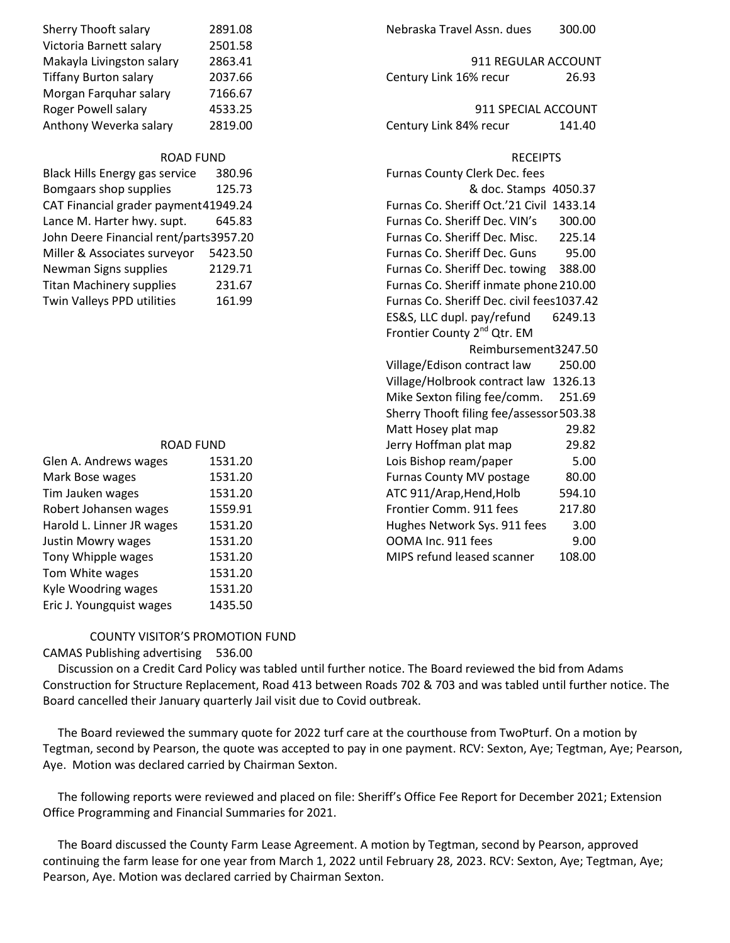| Sherry Thooft salary                   | 2891.08                                  | Nebraska Travel Assn. dues                | 300.00  |
|----------------------------------------|------------------------------------------|-------------------------------------------|---------|
| Victoria Barnett salary                | 2501.58                                  |                                           |         |
| Makayla Livingston salary              | 2863.41                                  | 911 REGULAR ACCOUNT                       |         |
| <b>Tiffany Burton salary</b>           | 2037.66                                  | Century Link 16% recur                    | 26.93   |
| Morgan Farquhar salary                 | 7166.67                                  |                                           |         |
| Roger Powell salary                    | 4533.25                                  | 911 SPECIAL ACCOUNT                       |         |
| Anthony Weverka salary                 | 2819.00                                  | Century Link 84% recur                    | 141.40  |
| <b>ROAD FUND</b>                       |                                          | <b>RECEIPTS</b>                           |         |
| Black Hills Energy gas service         | 380.96                                   | Furnas County Clerk Dec. fees             |         |
| Bomgaars shop supplies                 | 125.73                                   | & doc. Stamps 4050.37                     |         |
| CAT Financial grader payment 41949.24  |                                          | Furnas Co. Sheriff Oct.'21 Civil 1433.14  |         |
| Lance M. Harter hwy. supt.             | 645.83                                   | Furnas Co. Sheriff Dec. VIN's             | 300.00  |
| John Deere Financial rent/parts3957.20 |                                          | Furnas Co. Sheriff Dec. Misc.<br>225.14   |         |
| Miller & Associates surveyor           | 5423.50                                  | Furnas Co. Sheriff Dec. Guns              | 95.00   |
| Newman Signs supplies                  | 2129.71                                  | Furnas Co. Sheriff Dec. towing            | 388.00  |
| <b>Titan Machinery supplies</b>        | 231.67                                   | Furnas Co. Sheriff inmate phone 210.00    |         |
| Twin Valleys PPD utilities             | 161.99                                   | Furnas Co. Sheriff Dec. civil fees1037.42 |         |
|                                        |                                          | ES&S, LLC dupl. pay/refund                | 6249.13 |
|                                        |                                          | Frontier County 2 <sup>nd</sup> Qtr. EM   |         |
|                                        |                                          | Reimbursement3247.50                      |         |
|                                        | Village/Edison contract law<br>250.00    |                                           |         |
|                                        |                                          | Village/Holbrook contract law<br>1326.13  |         |
|                                        | Mike Sexton filing fee/comm.<br>251.69   |                                           |         |
|                                        | Sherry Thooft filing fee/assessor 503.38 |                                           |         |
|                                        |                                          | Matt Hosey plat map                       | 29.82   |
| <b>ROAD FUND</b>                       |                                          | Jerry Hoffman plat map                    | 29.82   |
| Glen A. Andrews wages                  | 1531.20                                  | Lois Bishop ream/paper                    | 5.00    |
| Mark Bose wages                        | 1531.20                                  | Furnas County MV postage                  | 80.00   |
| Tim Jauken wages                       | 1531.20                                  | ATC 911/Arap, Hend, Holb                  | 594.10  |
| Robert Johansen wages                  | 1559.91                                  | Frontier Comm. 911 fees                   | 217.80  |
| Harold L. Linner JR wages              | 1531.20                                  | Hughes Network Sys. 911 fees              | 3.00    |
| Justin Mowry wages                     | 1531.20                                  | OOMA Inc. 911 fees                        | 9.00    |
| Tony Whipple wages                     | 1531.20                                  | MIPS refund leased scanner                | 108.00  |
| Tom White wages                        | 1531.20                                  |                                           |         |
| Kyle Woodring wages                    | 1531.20                                  |                                           |         |

## COUNTY VISITOR'S PROMOTION FUND

CAMAS Publishing advertising 536.00

Eric J. Youngquist wages 1435.50

 Discussion on a Credit Card Policy was tabled until further notice. The Board reviewed the bid from Adams Construction for Structure Replacement, Road 413 between Roads 702 & 703 and was tabled until further notice. The Board cancelled their January quarterly Jail visit due to Covid outbreak.

 The Board reviewed the summary quote for 2022 turf care at the courthouse from TwoPturf. On a motion by Tegtman, second by Pearson, the quote was accepted to pay in one payment. RCV: Sexton, Aye; Tegtman, Aye; Pearson, Aye. Motion was declared carried by Chairman Sexton.

 The following reports were reviewed and placed on file: Sheriff's Office Fee Report for December 2021; Extension Office Programming and Financial Summaries for 2021.

 The Board discussed the County Farm Lease Agreement. A motion by Tegtman, second by Pearson, approved continuing the farm lease for one year from March 1, 2022 until February 28, 2023. RCV: Sexton, Aye; Tegtman, Aye; Pearson, Aye. Motion was declared carried by Chairman Sexton.